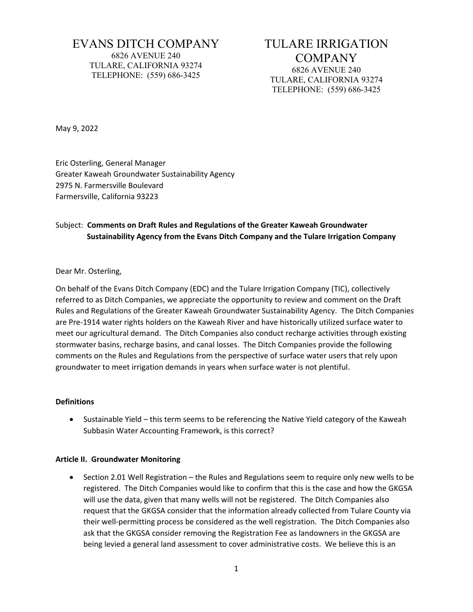# EVANS DITCH COMPANY 6826 AVENUE 240 TULARE, CALIFORNIA 93274 TELEPHONE: (559) 686-3425

# TULARE IRRIGATION COMPANY 6826 AVENUE 240 TULARE, CALIFORNIA 93274 TELEPHONE: (559) 686-3425

May 9, 2022

Eric Osterling, General Manager Greater Kaweah Groundwater Sustainability Agency 2975 N. Farmersville Boulevard Farmersville, California 93223

# Subject: **Comments on Draft Rules and Regulations of the Greater Kaweah Groundwater Sustainability Agency from the Evans Ditch Company and the Tulare Irrigation Company**

## Dear Mr. Osterling,

On behalf of the Evans Ditch Company (EDC) and the Tulare Irrigation Company (TIC), collectively referred to as Ditch Companies, we appreciate the opportunity to review and comment on the Draft Rules and Regulations of the Greater Kaweah Groundwater Sustainability Agency. The Ditch Companies are Pre-1914 water rights holders on the Kaweah River and have historically utilized surface water to meet our agricultural demand. The Ditch Companies also conduct recharge activities through existing stormwater basins, recharge basins, and canal losses. The Ditch Companies provide the following comments on the Rules and Regulations from the perspective of surface water users that rely upon groundwater to meet irrigation demands in years when surface water is not plentiful.

#### **Definitions**

• Sustainable Yield – this term seems to be referencing the Native Yield category of the Kaweah Subbasin Water Accounting Framework, is this correct?

#### **Article II. Groundwater Monitoring**

• Section 2.01 Well Registration – the Rules and Regulations seem to require only new wells to be registered. The Ditch Companies would like to confirm that this is the case and how the GKGSA will use the data, given that many wells will not be registered. The Ditch Companies also request that the GKGSA consider that the information already collected from Tulare County via their well-permitting process be considered as the well registration. The Ditch Companies also ask that the GKGSA consider removing the Registration Fee as landowners in the GKGSA are being levied a general land assessment to cover administrative costs. We believe this is an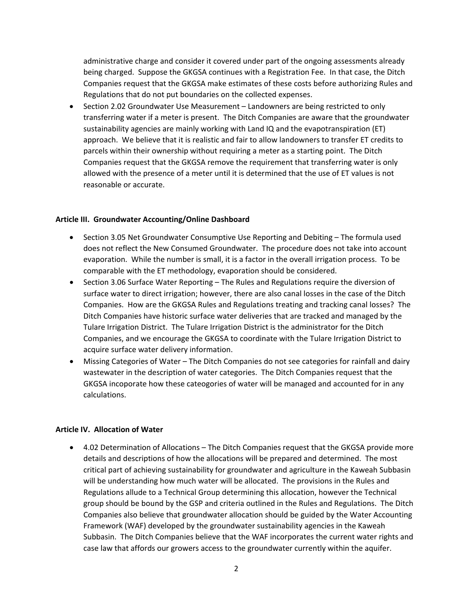administrative charge and consider it covered under part of the ongoing assessments already being charged. Suppose the GKGSA continues with a Registration Fee. In that case, the Ditch Companies request that the GKGSA make estimates of these costs before authorizing Rules and Regulations that do not put boundaries on the collected expenses.

• Section 2.02 Groundwater Use Measurement – Landowners are being restricted to only transferring water if a meter is present. The Ditch Companies are aware that the groundwater sustainability agencies are mainly working with Land IQ and the evapotranspiration (ET) approach. We believe that it is realistic and fair to allow landowners to transfer ET credits to parcels within their ownership without requiring a meter as a starting point. The Ditch Companies request that the GKGSA remove the requirement that transferring water is only allowed with the presence of a meter until it is determined that the use of ET values is not reasonable or accurate.

## **Article III. Groundwater Accounting/Online Dashboard**

- Section 3.05 Net Groundwater Consumptive Use Reporting and Debiting The formula used does not reflect the New Consumed Groundwater. The procedure does not take into account evaporation. While the number is small, it is a factor in the overall irrigation process. To be comparable with the ET methodology, evaporation should be considered.
- Section 3.06 Surface Water Reporting The Rules and Regulations require the diversion of surface water to direct irrigation; however, there are also canal losses in the case of the Ditch Companies. How are the GKGSA Rules and Regulations treating and tracking canal losses? The Ditch Companies have historic surface water deliveries that are tracked and managed by the Tulare Irrigation District. The Tulare Irrigation District is the administrator for the Ditch Companies, and we encourage the GKGSA to coordinate with the Tulare Irrigation District to acquire surface water delivery information.
- Missing Categories of Water The Ditch Companies do not see categories for rainfall and dairy wastewater in the description of water categories. The Ditch Companies request that the GKGSA incoporate how these cateogories of water will be managed and accounted for in any calculations.

#### **Article IV. Allocation of Water**

• 4.02 Determination of Allocations – The Ditch Companies request that the GKGSA provide more details and descriptions of how the allocations will be prepared and determined. The most critical part of achieving sustainability for groundwater and agriculture in the Kaweah Subbasin will be understanding how much water will be allocated. The provisions in the Rules and Regulations allude to a Technical Group determining this allocation, however the Technical group should be bound by the GSP and criteria outlined in the Rules and Regulations. The Ditch Companies also believe that groundwater allocation should be guided by the Water Accounting Framework (WAF) developed by the groundwater sustainability agencies in the Kaweah Subbasin. The Ditch Companies believe that the WAF incorporates the current water rights and case law that affords our growers access to the groundwater currently within the aquifer.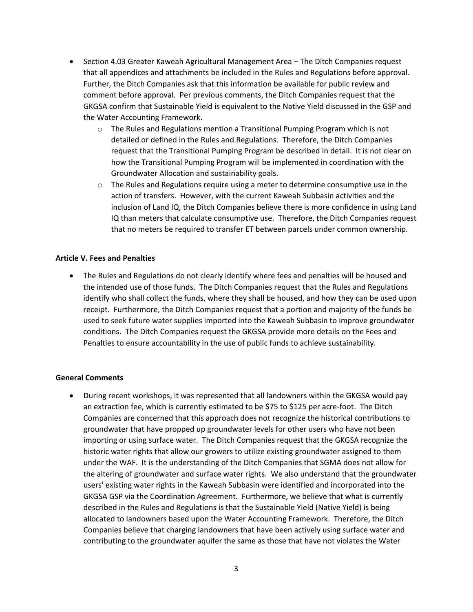- Section 4.03 Greater Kaweah Agricultural Management Area The Ditch Companies request that all appendices and attachments be included in the Rules and Regulations before approval. Further, the Ditch Companies ask that this information be available for public review and comment before approval. Per previous comments, the Ditch Companies request that the GKGSA confirm that Sustainable Yield is equivalent to the Native Yield discussed in the GSP and the Water Accounting Framework.
	- o The Rules and Regulations mention a Transitional Pumping Program which is not detailed or defined in the Rules and Regulations. Therefore, the Ditch Companies request that the Transitional Pumping Program be described in detail. It is not clear on how the Transitional Pumping Program will be implemented in coordination with the Groundwater Allocation and sustainability goals.
	- o The Rules and Regulations require using a meter to determine consumptive use in the action of transfers. However, with the current Kaweah Subbasin activities and the inclusion of Land IQ, the Ditch Companies believe there is more confidence in using Land IQ than meters that calculate consumptive use. Therefore, the Ditch Companies request that no meters be required to transfer ET between parcels under common ownership.

## **Article V. Fees and Penalties**

• The Rules and Regulations do not clearly identify where fees and penalties will be housed and the intended use of those funds. The Ditch Companies request that the Rules and Regulations identify who shall collect the funds, where they shall be housed, and how they can be used upon receipt. Furthermore, the Ditch Companies request that a portion and majority of the funds be used to seek future water supplies imported into the Kaweah Subbasin to improve groundwater conditions. The Ditch Companies request the GKGSA provide more details on the Fees and Penalties to ensure accountability in the use of public funds to achieve sustainability.

#### **General Comments**

• During recent workshops, it was represented that all landowners within the GKGSA would pay an extraction fee, which is currently estimated to be \$75 to \$125 per acre-foot. The Ditch Companies are concerned that this approach does not recognize the historical contributions to groundwater that have propped up groundwater levels for other users who have not been importing or using surface water. The Ditch Companies request that the GKGSA recognize the historic water rights that allow our growers to utilize existing groundwater assigned to them under the WAF. It is the understanding of the Ditch Companies that SGMA does not allow for the altering of groundwater and surface water rights. We also understand that the groundwater users' existing water rights in the Kaweah Subbasin were identified and incorporated into the GKGSA GSP via the Coordination Agreement. Furthermore, we believe that what is currently described in the Rules and Regulations is that the Sustainable Yield (Native Yield) is being allocated to landowners based upon the Water Accounting Framework. Therefore, the Ditch Companies believe that charging landowners that have been actively using surface water and contributing to the groundwater aquifer the same as those that have not violates the Water